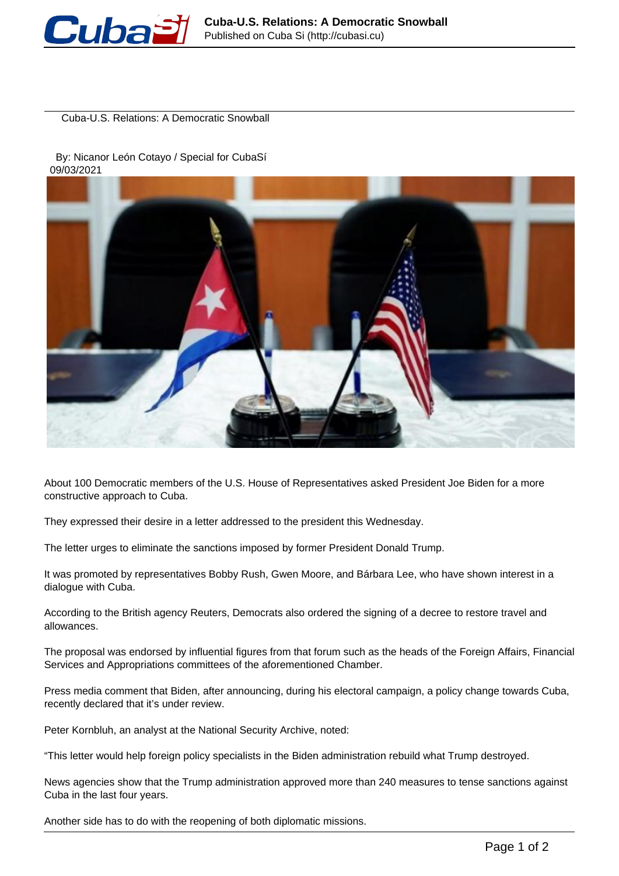

Cuba-U.S. Relations: A Democratic Snowball

 By: Nicanor León Cotayo / Special for CubaSí 09/03/2021



About 100 Democratic members of the U.S. House of Representatives asked President Joe Biden for a more constructive approach to Cuba.

They expressed their desire in a letter addressed to the president this Wednesday.

The letter urges to eliminate the sanctions imposed by former President Donald Trump.

It was promoted by representatives Bobby Rush, Gwen Moore, and Bárbara Lee, who have shown interest in a dialogue with Cuba.

According to the British agency Reuters, Democrats also ordered the signing of a decree to restore travel and allowances.

The proposal was endorsed by influential figures from that forum such as the heads of the Foreign Affairs, Financial Services and Appropriations committees of the aforementioned Chamber.

Press media comment that Biden, after announcing, during his electoral campaign, a policy change towards Cuba, recently declared that it's under review.

Peter Kornbluh, an analyst at the National Security Archive, noted:

"This letter would help foreign policy specialists in the Biden administration rebuild what Trump destroyed.

News agencies show that the Trump administration approved more than 240 measures to tense sanctions against Cuba in the last four years.

Another side has to do with the reopening of both diplomatic missions.